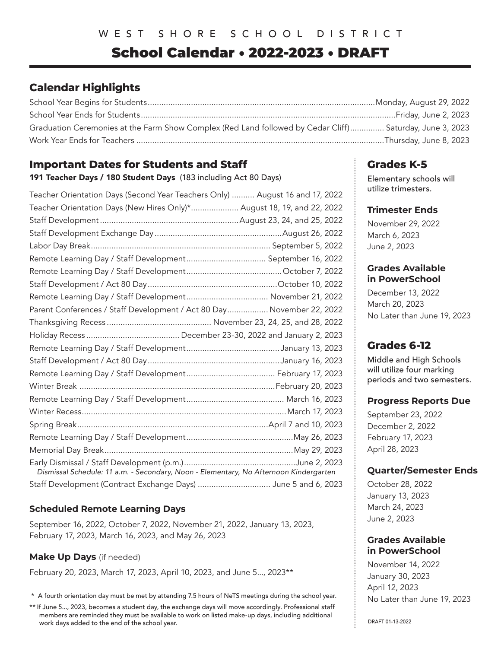# School Calendar • 2022-2023 • DRAFT

## **Calendar Highlights**

| Graduation Ceremonies at the Farm Show Complex (Red Land followed by Cedar Cliff) Saturday, June 3, 2023 |  |
|----------------------------------------------------------------------------------------------------------|--|
|                                                                                                          |  |

## **Important Dates for Students and Staff**

191 Teacher Days / 180 Student Days (183 including Act 80 Days)

| Teacher Orientation Days (Second Year Teachers Only)  August 16 and 17, 2022          |  |
|---------------------------------------------------------------------------------------|--|
| Teacher Orientation Days (New Hires Only)* August 18, 19, and 22, 2022                |  |
|                                                                                       |  |
|                                                                                       |  |
|                                                                                       |  |
|                                                                                       |  |
|                                                                                       |  |
|                                                                                       |  |
|                                                                                       |  |
| Parent Conferences / Staff Development / Act 80 Day November 22, 2022                 |  |
|                                                                                       |  |
|                                                                                       |  |
|                                                                                       |  |
|                                                                                       |  |
|                                                                                       |  |
|                                                                                       |  |
|                                                                                       |  |
|                                                                                       |  |
|                                                                                       |  |
|                                                                                       |  |
|                                                                                       |  |
| Dismissal Schedule: 11 a.m. - Secondary, Noon - Elementary, No Afternoon Kindergarten |  |
| Staff Development (Contract Exchange Days)  June 5 and 6, 2023                        |  |

### **Scheduled Remote Learning Days**

September 16, 2022, October 7, 2022, November 21, 2022, January 13, 2023, February 17, 2023, March 16, 2023, and May 26, 2023

### **Make Up Days** (if needed)

February 20, 2023, March 17, 2023, April 10, 2023, and June 5..., 2023\*\*

\* A fourth orientation day must be met by attending 7.5 hours of NeTS meetings during the school year.

## **Grades K-5**

Elementary schools will utilize trimesters.

#### **Trimester Ends**

November 29, 2022 March 6, 2023 June 2, 2023

#### **Grades Available in PowerSchool**

December 13, 2022 March 20, 2023 No Later than June 19, 2023

## **Grades 6-12**

Middle and High Schools will utilize four marking periods and two semesters.

#### **Progress Reports Due**

September 23, 2022 December 2, 2022 February 17, 2023 April 28, 2023

### **Quarter/Semester Ends**

October 28, 2022 January 13, 2023 March 24, 2023 June 2, 2023

#### **Grades Available in PowerSchool**

November 14, 2022 January 30, 2023 April 12, 2023 No Later than June 19, 2023

<sup>\*\*</sup> If June 5..., 2023, becomes a student day, the exchange days will move accordingly. Professional staff members are reminded they must be available to work on listed make-up days, including additional work days added to the end of the school year.